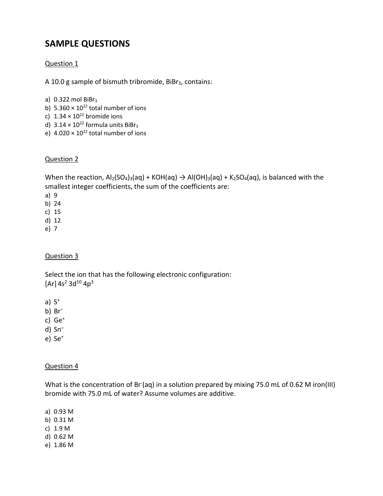# **SAMPLE QUESTIONS**

## Question 1

A 10.0 g sample of bismuth tribromide, BiBr<sub>3</sub>, contains:

- a)  $0.322$  mol BiBr<sub>3</sub>
- b)  $5.360 \times 10^{22}$  total number of ions
- c)  $1.34 \times 10^{22}$  bromide ions
- d)  $3.14 \times 10^{22}$  formula units BiBr<sub>3</sub>
- e)  $4.020 \times 10^{22}$  total number of ions

#### Question 2

When the reaction,  $Al_2(SO_4)_3(aq) + KOH(aq) \rightarrow Al(OH)_3(aq) + K_2SO_4(aq)$ , is balanced with the smallest integer coefficients, the sum of the coefficients are:

- a) 9
- b) 24
- c) 15
- d) 12
- e) 7

#### Question 3

Select the ion that has the following electronic configuration:  $[Ar]$  4s<sup>2</sup> 3d<sup>10</sup> 4p<sup>3</sup>

a)  $S^+$ 

b) Br–

- c) Ge+
- d) Sn–
- e) Se+

#### Question 4

What is the concentration of Br (aq) in a solution prepared by mixing 75.0 mL of 0.62 M iron(III) bromide with 75.0 mL of water? Assume volumes are additive.

a) 0.93 M

- b) 0.31 M
- c) 1.9 M
- d) 0.62 M
- e) 1.86 M